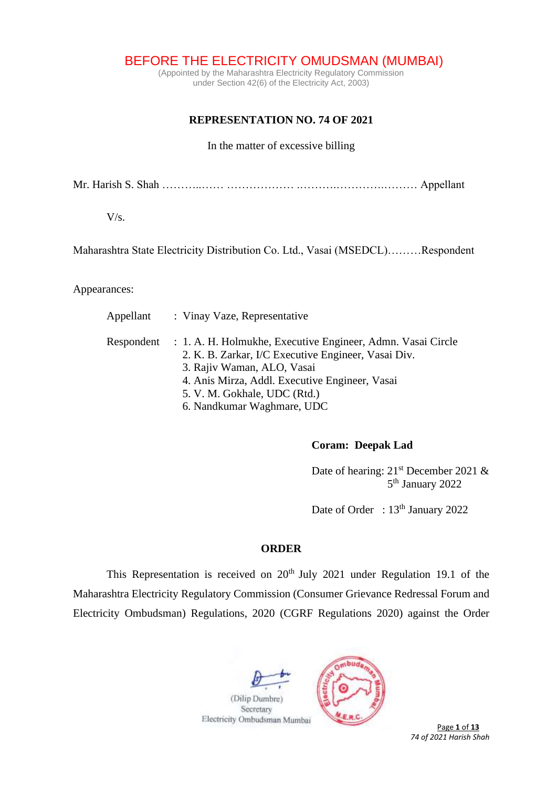BEFORE THE ELECTRICITY OMUDSMAN (MUMBAI)

(Appointed by the Maharashtra Electricity Regulatory Commission under Section 42(6) of the Electricity Act, 2003)

# **REPRESENTATION NO. 74 OF 2021**

### In the matter of excessive billing

Mr. Harish S. Shah ………..…… ……………… .……….………….……… Appellant

V/s.

Maharashtra State Electricity Distribution Co. Ltd., Vasai (MSEDCL)………Respondent

Appearances:

| Appellant | : Vinay Vaze, Representative                                           |
|-----------|------------------------------------------------------------------------|
|           | Respondent : 1. A. H. Holmukhe, Executive Engineer, Admn. Vasai Circle |
|           | 2. K. B. Zarkar, I/C Executive Engineer, Vasai Div.                    |
|           | 3. Rajiv Waman, ALO, Vasai                                             |
|           | 4. Anis Mirza, Addl. Executive Engineer, Vasai                         |
|           | 5. V. M. Gokhale, UDC (Rtd.)                                           |
|           | 6. Nandkumar Waghmare, UDC                                             |

### **Coram: Deepak Lad**

Date of hearing: 21<sup>st</sup> December 2021 & 5 5<sup>th</sup> January 2022

Date of Order : 13<sup>th</sup> January 2022

# **ORDER**

This Representation is received on  $20<sup>th</sup>$  July 2021 under Regulation 19.1 of the Maharashtra Electricity Regulatory Commission (Consumer Grievance Redressal Forum and Electricity Ombudsman) Regulations, 2020 (CGRF Regulations 2020) against the Order

(Dilip Dumbre) Secretary



**Page 1 of 13** *74 of 2021 Harish Shah*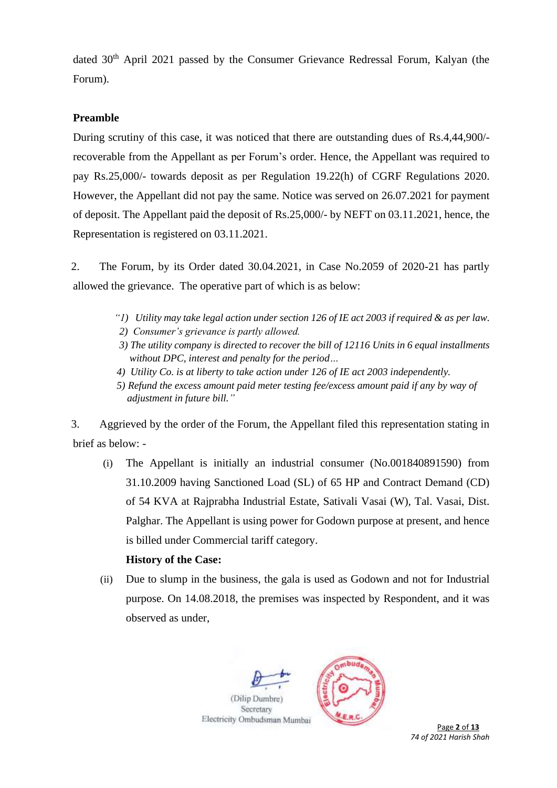dated 30<sup>th</sup> April 2021 passed by the Consumer Grievance Redressal Forum, Kalyan (the Forum).

# **Preamble**

During scrutiny of this case, it was noticed that there are outstanding dues of Rs.4,44,900/ recoverable from the Appellant as per Forum's order. Hence, the Appellant was required to pay Rs.25,000/- towards deposit as per Regulation 19.22(h) of CGRF Regulations 2020. However, the Appellant did not pay the same. Notice was served on 26.07.2021 for payment of deposit. The Appellant paid the deposit of Rs.25,000/- by NEFT on 03.11.2021, hence, the Representation is registered on 03.11.2021.

2. The Forum, by its Order dated 30.04.2021, in Case No.2059 of 2020-21 has partly allowed the grievance. The operative part of which is as below:

- *"1) Utility may take legal action under section 126 of IE act 2003 if required & as per law.*
- *2) Consumer's grievance is partly allowed.*
- *3) The utility company is directed to recover the bill of 12116 Units in 6 equal installments without DPC, interest and penalty for the period…*
- *4) Utility Co. is at liberty to take action under 126 of IE act 2003 independently.*
- *5) Refund the excess amount paid meter testing fee/excess amount paid if any by way of adjustment in future bill."*

3. Aggrieved by the order of the Forum, the Appellant filed this representation stating in brief as below: -

(i) The Appellant is initially an industrial consumer (No.001840891590) from 31.10.2009 having Sanctioned Load (SL) of 65 HP and Contract Demand (CD) of 54 KVA at Rajprabha Industrial Estate, Sativali Vasai (W), Tal. Vasai, Dist. Palghar. The Appellant is using power for Godown purpose at present, and hence is billed under Commercial tariff category.

### **History of the Case:**

(ii) Due to slump in the business, the gala is used as Godown and not for Industrial purpose. On 14.08.2018, the premises was inspected by Respondent, and it was observed as under,

(Dilip Dumbre) Secretary Electricity Ombudsman Mumbai



Page 2 of 13 *74 of 2021 Harish Shah*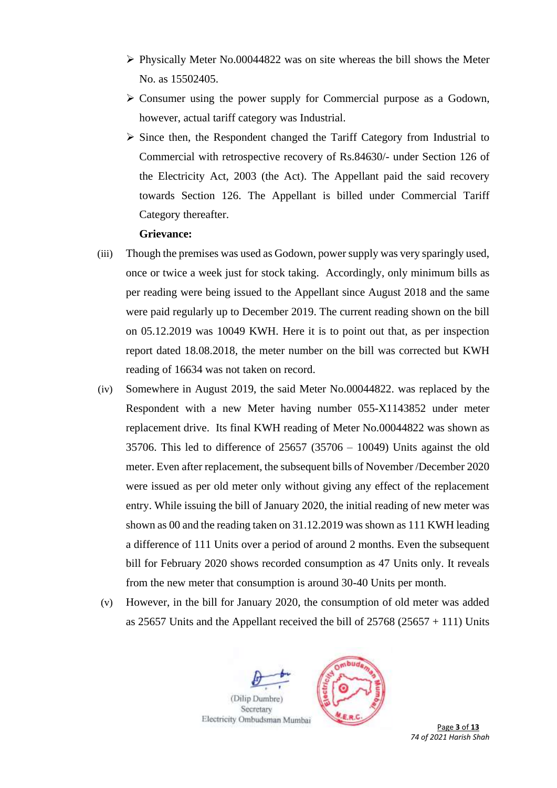- $\triangleright$  Physically Meter No.00044822 was on site whereas the bill shows the Meter No. as 15502405.
- ➢ Consumer using the power supply for Commercial purpose as a Godown, however, actual tariff category was Industrial.
- ➢ Since then, the Respondent changed the Tariff Category from Industrial to Commercial with retrospective recovery of Rs.84630/- under Section 126 of the Electricity Act, 2003 (the Act). The Appellant paid the said recovery towards Section 126. The Appellant is billed under Commercial Tariff Category thereafter.

#### **Grievance:**

- (iii) Though the premises was used as Godown, power supply was very sparingly used, once or twice a week just for stock taking. Accordingly, only minimum bills as per reading were being issued to the Appellant since August 2018 and the same were paid regularly up to December 2019. The current reading shown on the bill on 05.12.2019 was 10049 KWH. Here it is to point out that, as per inspection report dated 18.08.2018, the meter number on the bill was corrected but KWH reading of 16634 was not taken on record.
- (iv) Somewhere in August 2019, the said Meter No.00044822. was replaced by the Respondent with a new Meter having number 055-X1143852 under meter replacement drive. Its final KWH reading of Meter No.00044822 was shown as 35706. This led to difference of 25657 (35706 – 10049) Units against the old meter. Even after replacement, the subsequent bills of November /December 2020 were issued as per old meter only without giving any effect of the replacement entry. While issuing the bill of January 2020, the initial reading of new meter was shown as 00 and the reading taken on 31.12.2019 was shown as 111 KWH leading a difference of 111 Units over a period of around 2 months. Even the subsequent bill for February 2020 shows recorded consumption as 47 Units only. It reveals from the new meter that consumption is around 30-40 Units per month.
- (v) However, in the bill for January 2020, the consumption of old meter was added as 25657 Units and the Appellant received the bill of  $25768 (25657 + 111)$  Units

(Dilip Dumbre) Secretary Electricity Ombudsman Mumbai



 Page **3** of **13** *74 of 2021 Harish Shah*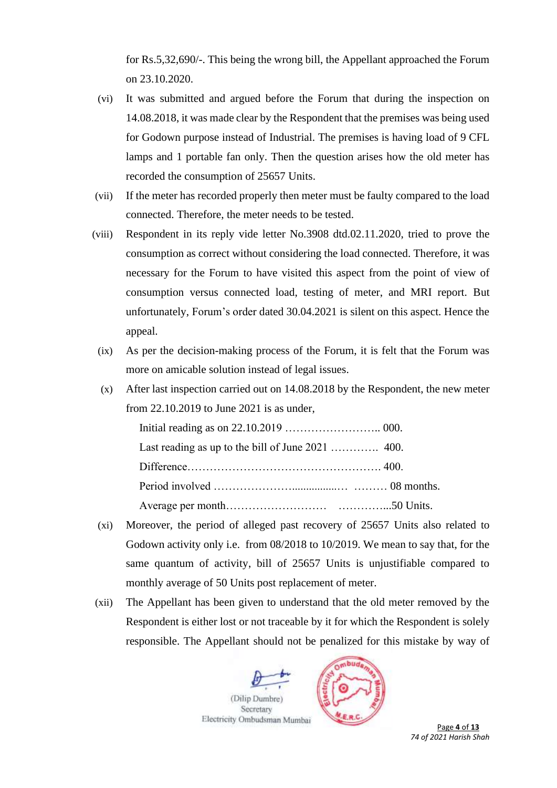for Rs.5,32,690/-. This being the wrong bill, the Appellant approached the Forum on 23.10.2020.

- (vi) It was submitted and argued before the Forum that during the inspection on 14.08.2018, it was made clear by the Respondent that the premises was being used for Godown purpose instead of Industrial. The premises is having load of 9 CFL lamps and 1 portable fan only. Then the question arises how the old meter has recorded the consumption of 25657 Units.
- (vii) If the meter has recorded properly then meter must be faulty compared to the load connected. Therefore, the meter needs to be tested.
- (viii) Respondent in its reply vide letter No.3908 dtd.02.11.2020, tried to prove the consumption as correct without considering the load connected. Therefore, it was necessary for the Forum to have visited this aspect from the point of view of consumption versus connected load, testing of meter, and MRI report. But unfortunately, Forum's order dated 30.04.2021 is silent on this aspect. Hence the appeal.
- (ix) As per the decision-making process of the Forum, it is felt that the Forum was more on amicable solution instead of legal issues.
- (x) After last inspection carried out on 14.08.2018 by the Respondent, the new meter from 22.10.2019 to June 2021 is as under,

- (xi) Moreover, the period of alleged past recovery of 25657 Units also related to Godown activity only i.e. from 08/2018 to 10/2019. We mean to say that, for the same quantum of activity, bill of 25657 Units is unjustifiable compared to monthly average of 50 Units post replacement of meter.
- (xii) The Appellant has been given to understand that the old meter removed by the Respondent is either lost or not traceable by it for which the Respondent is solely responsible. The Appellant should not be penalized for this mistake by way of

(Dilip Dumbre) Secretary Electricity Ombudsman Mumbai



Page 4 of **13** *74 of 2021 Harish Shah*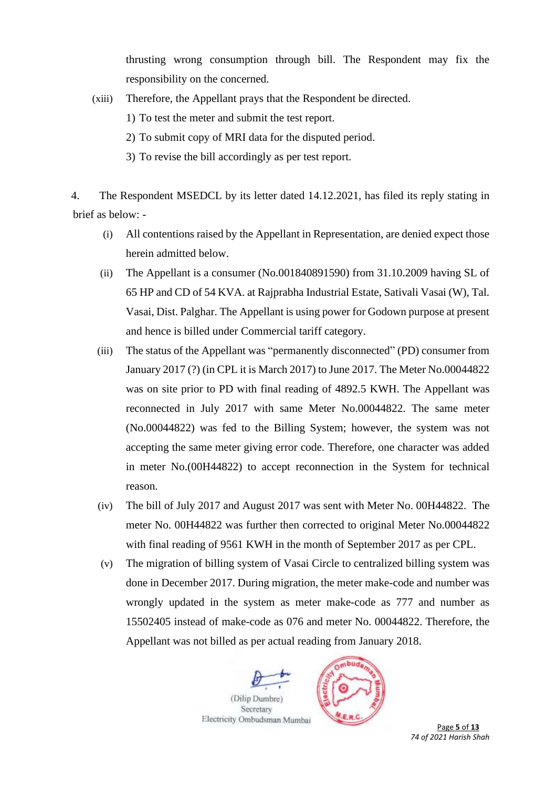thrusting wrong consumption through bill. The Respondent may fix the responsibility on the concerned.

- (xiii) Therefore, the Appellant prays that the Respondent be directed.
	- 1) To test the meter and submit the test report.
	- 2) To submit copy of MRI data for the disputed period.
	- 3) To revise the bill accordingly as per test report.

4. The Respondent MSEDCL by its letter dated 14.12.2021, has filed its reply stating in brief as below: -

- (i) All contentions raised by the Appellant in Representation, are denied expect those herein admitted below.
- (ii) The Appellant is a consumer (No.001840891590) from 31.10.2009 having SL of 65 HP and CD of 54 KVA. at Rajprabha Industrial Estate, Sativali Vasai (W), Tal. Vasai, Dist. Palghar. The Appellant is using power for Godown purpose at present and hence is billed under Commercial tariff category.
- (iii) The status of the Appellant was "permanently disconnected" (PD) consumer from January 2017 (?) (in CPL it is March 2017) to June 2017. The Meter No.00044822 was on site prior to PD with final reading of 4892.5 KWH. The Appellant was reconnected in July 2017 with same Meter No.00044822. The same meter (No.00044822) was fed to the Billing System; however, the system was not accepting the same meter giving error code. Therefore, one character was added in meter No.(00H44822) to accept reconnection in the System for technical reason.
- (iv) The bill of July 2017 and August 2017 was sent with Meter No. 00H44822. The meter No. 00H44822 was further then corrected to original Meter No.00044822 with final reading of 9561 KWH in the month of September 2017 as per CPL.
- (v) The migration of billing system of Vasai Circle to centralized billing system was done in December 2017. During migration, the meter make-code and number was wrongly updated in the system as meter make-code as 777 and number as 15502405 instead of make-code as 076 and meter No. 00044822. Therefore, the Appellant was not billed as per actual reading from January 2018.





 Page **5** of **13** *74 of 2021 Harish Shah*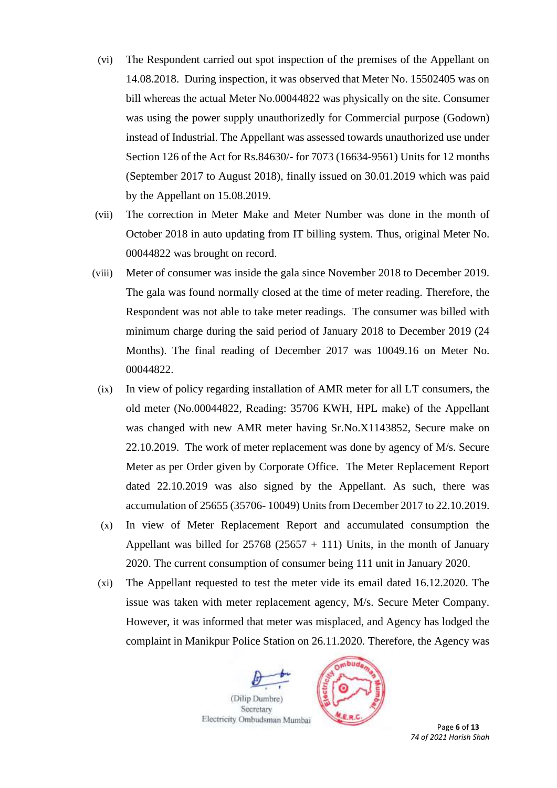- (vi) The Respondent carried out spot inspection of the premises of the Appellant on 14.08.2018. During inspection, it was observed that Meter No. 15502405 was on bill whereas the actual Meter No.00044822 was physically on the site. Consumer was using the power supply unauthorizedly for Commercial purpose (Godown) instead of Industrial. The Appellant was assessed towards unauthorized use under Section 126 of the Act for Rs.84630/- for 7073 (16634-9561) Units for 12 months (September 2017 to August 2018), finally issued on 30.01.2019 which was paid by the Appellant on 15.08.2019.
- (vii) The correction in Meter Make and Meter Number was done in the month of October 2018 in auto updating from IT billing system. Thus, original Meter No. 00044822 was brought on record.
- (viii) Meter of consumer was inside the gala since November 2018 to December 2019. The gala was found normally closed at the time of meter reading. Therefore, the Respondent was not able to take meter readings. The consumer was billed with minimum charge during the said period of January 2018 to December 2019 (24 Months). The final reading of December 2017 was 10049.16 on Meter No. 00044822.
- (ix) In view of policy regarding installation of AMR meter for all LT consumers, the old meter (No.00044822, Reading: 35706 KWH, HPL make) of the Appellant was changed with new AMR meter having Sr.No.X1143852, Secure make on 22.10.2019. The work of meter replacement was done by agency of M/s. Secure Meter as per Order given by Corporate Office. The Meter Replacement Report dated 22.10.2019 was also signed by the Appellant. As such, there was accumulation of 25655 (35706- 10049) Unitsfrom December 2017 to 22.10.2019.
- (x) In view of Meter Replacement Report and accumulated consumption the Appellant was billed for  $25768 (25657 + 111)$  Units, in the month of January 2020. The current consumption of consumer being 111 unit in January 2020.
- (xi) The Appellant requested to test the meter vide its email dated 16.12.2020. The issue was taken with meter replacement agency, M/s. Secure Meter Company. However, it was informed that meter was misplaced, and Agency has lodged the complaint in Manikpur Police Station on 26.11.2020. Therefore, the Agency was

(Dilip Dumbre) Secretary Electricity Ombudsman Mumbai



 Page **6** of **13** *74 of 2021 Harish Shah*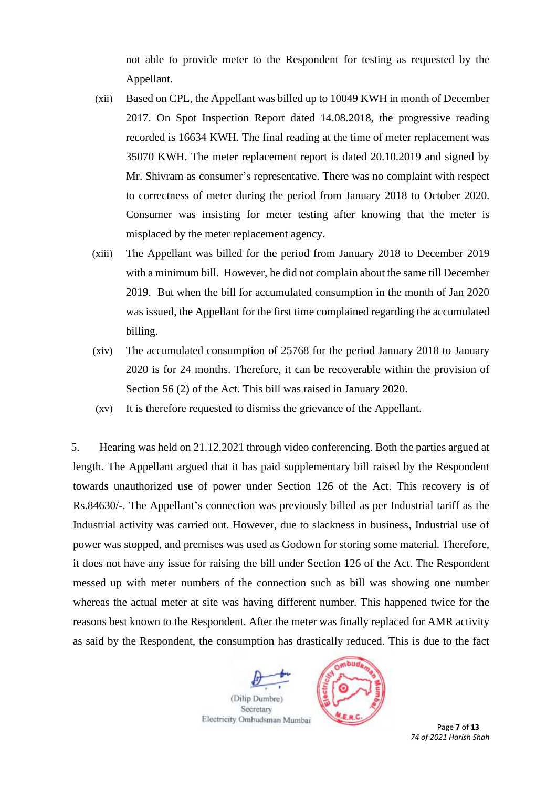not able to provide meter to the Respondent for testing as requested by the Appellant.

- (xii) Based on CPL, the Appellant was billed up to 10049 KWH in month of December 2017. On Spot Inspection Report dated 14.08.2018, the progressive reading recorded is 16634 KWH. The final reading at the time of meter replacement was 35070 KWH. The meter replacement report is dated 20.10.2019 and signed by Mr. Shivram as consumer's representative. There was no complaint with respect to correctness of meter during the period from January 2018 to October 2020. Consumer was insisting for meter testing after knowing that the meter is misplaced by the meter replacement agency.
- (xiii) The Appellant was billed for the period from January 2018 to December 2019 with a minimum bill. However, he did not complain about the same till December 2019. But when the bill for accumulated consumption in the month of Jan 2020 was issued, the Appellant for the first time complained regarding the accumulated billing.
- (xiv) The accumulated consumption of 25768 for the period January 2018 to January 2020 is for 24 months. Therefore, it can be recoverable within the provision of Section 56 (2) of the Act. This bill was raised in January 2020.
- (xv) It is therefore requested to dismiss the grievance of the Appellant.

5. Hearing was held on 21.12.2021 through video conferencing. Both the parties argued at length. The Appellant argued that it has paid supplementary bill raised by the Respondent towards unauthorized use of power under Section 126 of the Act. This recovery is of Rs.84630/-. The Appellant's connection was previously billed as per Industrial tariff as the Industrial activity was carried out. However, due to slackness in business, Industrial use of power was stopped, and premises was used as Godown for storing some material. Therefore, it does not have any issue for raising the bill under Section 126 of the Act. The Respondent messed up with meter numbers of the connection such as bill was showing one number whereas the actual meter at site was having different number. This happened twice for the reasons best known to the Respondent. After the meter was finally replaced for AMR activity as said by the Respondent, the consumption has drastically reduced. This is due to the fact

(Dilip Dumbre) Secretary Electricity Ombudsman Mumbai



 Page **7** of **13** *74 of 2021 Harish Shah*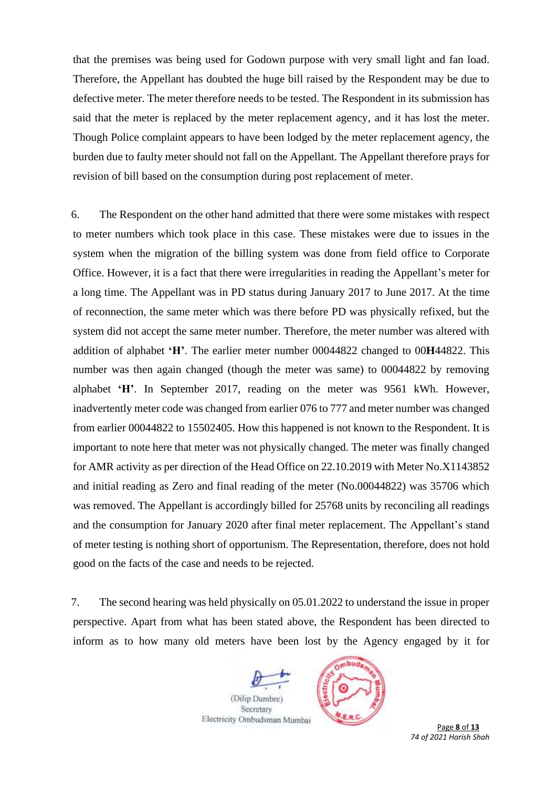that the premises was being used for Godown purpose with very small light and fan load. Therefore, the Appellant has doubted the huge bill raised by the Respondent may be due to defective meter. The meter therefore needs to be tested. The Respondent in its submission has said that the meter is replaced by the meter replacement agency, and it has lost the meter. Though Police complaint appears to have been lodged by the meter replacement agency, the burden due to faulty meter should not fall on the Appellant. The Appellant therefore prays for revision of bill based on the consumption during post replacement of meter.

6. The Respondent on the other hand admitted that there were some mistakes with respect to meter numbers which took place in this case. These mistakes were due to issues in the system when the migration of the billing system was done from field office to Corporate Office. However, it is a fact that there were irregularities in reading the Appellant's meter for a long time. The Appellant was in PD status during January 2017 to June 2017. At the time of reconnection, the same meter which was there before PD was physically refixed, but the system did not accept the same meter number. Therefore, the meter number was altered with addition of alphabet **'H'**. The earlier meter number 00044822 changed to 00**H**44822. This number was then again changed (though the meter was same) to 00044822 by removing alphabet **'H'**. In September 2017, reading on the meter was 9561 kWh. However, inadvertently meter code was changed from earlier 076 to 777 and meter number was changed from earlier 00044822 to 15502405. How this happened is not known to the Respondent. It is important to note here that meter was not physically changed. The meter was finally changed for AMR activity as per direction of the Head Office on 22.10.2019 with Meter No.X1143852 and initial reading as Zero and final reading of the meter (No.00044822) was 35706 which was removed. The Appellant is accordingly billed for 25768 units by reconciling all readings and the consumption for January 2020 after final meter replacement. The Appellant's stand of meter testing is nothing short of opportunism. The Representation, therefore, does not hold good on the facts of the case and needs to be rejected.

7. The second hearing was held physically on 05.01.2022 to understand the issue in proper perspective. Apart from what has been stated above, the Respondent has been directed to inform as to how many old meters have been lost by the Agency engaged by it for

(Dilip Dumbre) Secretary Electricity Ombudsman Mumbai



 Page **8** of **13** *74 of 2021 Harish Shah*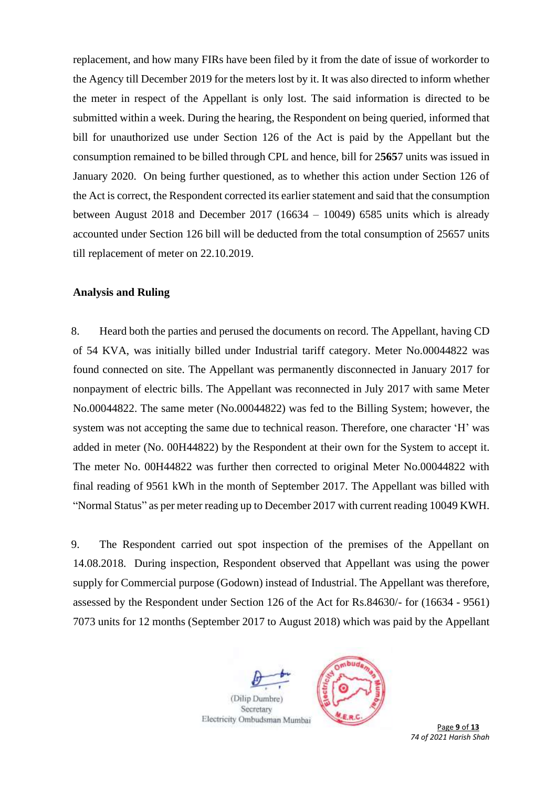replacement, and how many FIRs have been filed by it from the date of issue of workorder to the Agency till December 2019 for the meters lost by it. It was also directed to inform whether the meter in respect of the Appellant is only lost. The said information is directed to be submitted within a week. During the hearing, the Respondent on being queried, informed that bill for unauthorized use under Section 126 of the Act is paid by the Appellant but the consumption remained to be billed through CPL and hence, bill for 2**565**7 units was issued in January 2020. On being further questioned, as to whether this action under Section 126 of the Act is correct, the Respondent corrected its earlier statement and said that the consumption between August 2018 and December 2017 (16634 – 10049) 6585 units which is already accounted under Section 126 bill will be deducted from the total consumption of 25657 units till replacement of meter on 22.10.2019.

#### **Analysis and Ruling**

8. Heard both the parties and perused the documents on record. The Appellant, having CD of 54 KVA, was initially billed under Industrial tariff category. Meter No.00044822 was found connected on site. The Appellant was permanently disconnected in January 2017 for nonpayment of electric bills. The Appellant was reconnected in July 2017 with same Meter No.00044822. The same meter (No.00044822) was fed to the Billing System; however, the system was not accepting the same due to technical reason. Therefore, one character 'H' was added in meter (No. 00H44822) by the Respondent at their own for the System to accept it. The meter No. 00H44822 was further then corrected to original Meter No.00044822 with final reading of 9561 kWh in the month of September 2017. The Appellant was billed with "Normal Status" as per meter reading up to December 2017 with current reading 10049 KWH.

9. The Respondent carried out spot inspection of the premises of the Appellant on 14.08.2018. During inspection, Respondent observed that Appellant was using the power supply for Commercial purpose (Godown) instead of Industrial. The Appellant was therefore, assessed by the Respondent under Section 126 of the Act for Rs.84630/- for (16634 - 9561) 7073 units for 12 months (September 2017 to August 2018) which was paid by the Appellant

(Dilip Dumbre) Secretary Electricity Ombudsman Mumbai



 Page **9** of **13** *74 of 2021 Harish Shah*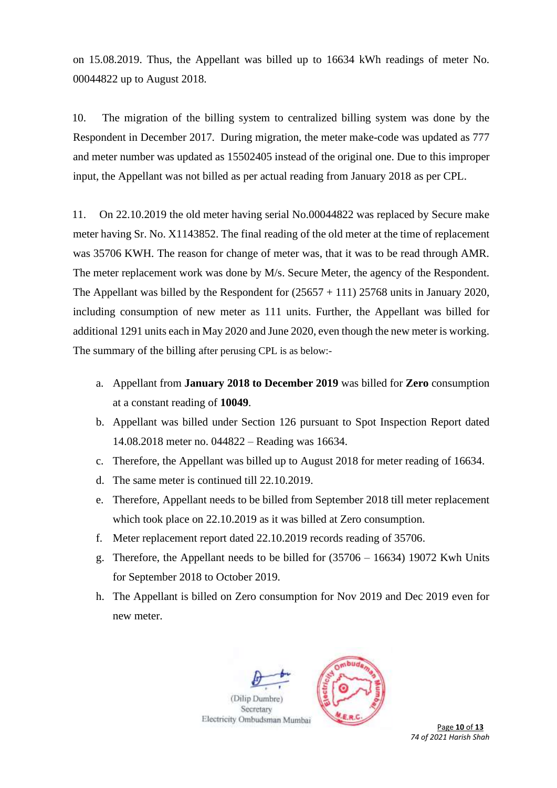on 15.08.2019. Thus, the Appellant was billed up to 16634 kWh readings of meter No. 00044822 up to August 2018.

10. The migration of the billing system to centralized billing system was done by the Respondent in December 2017. During migration, the meter make-code was updated as 777 and meter number was updated as 15502405 instead of the original one. Due to this improper input, the Appellant was not billed as per actual reading from January 2018 as per CPL.

11. On 22.10.2019 the old meter having serial No.00044822 was replaced by Secure make meter having Sr. No. X1143852. The final reading of the old meter at the time of replacement was 35706 KWH. The reason for change of meter was, that it was to be read through AMR. The meter replacement work was done by M/s. Secure Meter, the agency of the Respondent. The Appellant was billed by the Respondent for  $(25657 + 111)$  25768 units in January 2020, including consumption of new meter as 111 units. Further, the Appellant was billed for additional 1291 units each in May 2020 and June 2020, even though the new meter is working. The summary of the billing after perusing CPL is as below:-

- a. Appellant from **January 2018 to December 2019** was billed for **Zero** consumption at a constant reading of **10049**.
- b. Appellant was billed under Section 126 pursuant to Spot Inspection Report dated 14.08.2018 meter no. 044822 – Reading was 16634.
- c. Therefore, the Appellant was billed up to August 2018 for meter reading of 16634.
- d. The same meter is continued till 22.10.2019.
- e. Therefore, Appellant needs to be billed from September 2018 till meter replacement which took place on 22.10.2019 as it was billed at Zero consumption.
- f. Meter replacement report dated 22.10.2019 records reading of 35706.
- g. Therefore, the Appellant needs to be billed for (35706 16634) 19072 Kwh Units for September 2018 to October 2019.
- h. The Appellant is billed on Zero consumption for Nov 2019 and Dec 2019 even for new meter.

(Dilip Dumbre) Secretary Electricity Ombudsman Mumbai



Page 10 of 13 *74 of 2021 Harish Shah*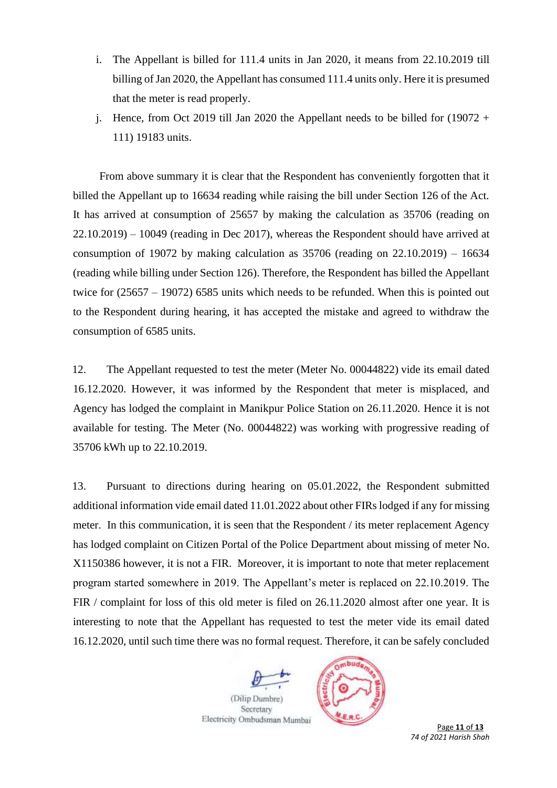- i. The Appellant is billed for 111.4 units in Jan 2020, it means from 22.10.2019 till billing of Jan 2020, the Appellant has consumed 111.4 units only. Here it is presumed that the meter is read properly.
- j. Hence, from Oct 2019 till Jan 2020 the Appellant needs to be billed for  $(19072 +$ 111) 19183 units.

From above summary it is clear that the Respondent has conveniently forgotten that it billed the Appellant up to 16634 reading while raising the bill under Section 126 of the Act. It has arrived at consumption of 25657 by making the calculation as 35706 (reading on 22.10.2019) – 10049 (reading in Dec 2017), whereas the Respondent should have arrived at consumption of 19072 by making calculation as  $35706$  (reading on  $22.10.2019$ ) – 16634 (reading while billing under Section 126). Therefore, the Respondent has billed the Appellant twice for (25657 – 19072) 6585 units which needs to be refunded. When this is pointed out to the Respondent during hearing, it has accepted the mistake and agreed to withdraw the consumption of 6585 units.

12. The Appellant requested to test the meter (Meter No. 00044822) vide its email dated 16.12.2020. However, it was informed by the Respondent that meter is misplaced, and Agency has lodged the complaint in Manikpur Police Station on 26.11.2020. Hence it is not available for testing. The Meter (No. 00044822) was working with progressive reading of 35706 kWh up to 22.10.2019.

13. Pursuant to directions during hearing on 05.01.2022, the Respondent submitted additional information vide email dated 11.01.2022 about other FIRs lodged if any for missing meter. In this communication, it is seen that the Respondent / its meter replacement Agency has lodged complaint on Citizen Portal of the Police Department about missing of meter No. X1150386 however, it is not a FIR. Moreover, it is important to note that meter replacement program started somewhere in 2019. The Appellant's meter is replaced on 22.10.2019. The FIR / complaint for loss of this old meter is filed on 26.11.2020 almost after one year. It is interesting to note that the Appellant has requested to test the meter vide its email dated 16.12.2020, until such time there was no formal request. Therefore, it can be safely concluded

(Dilip Dumbre) Secretary Electricity Ombudsman Mumbai



 Page **11** of **13** *74 of 2021 Harish Shah*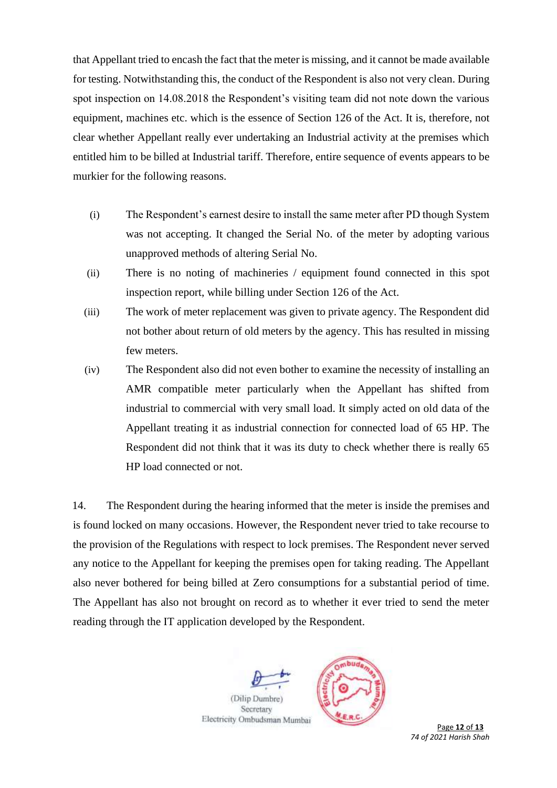that Appellant tried to encash the fact that the meter is missing, and it cannot be made available for testing. Notwithstanding this, the conduct of the Respondent is also not very clean. During spot inspection on 14.08.2018 the Respondent's visiting team did not note down the various equipment, machines etc. which is the essence of Section 126 of the Act. It is, therefore, not clear whether Appellant really ever undertaking an Industrial activity at the premises which entitled him to be billed at Industrial tariff. Therefore, entire sequence of events appears to be murkier for the following reasons.

- (i) The Respondent's earnest desire to install the same meter after PD though System was not accepting. It changed the Serial No. of the meter by adopting various unapproved methods of altering Serial No.
- (ii) There is no noting of machineries / equipment found connected in this spot inspection report, while billing under Section 126 of the Act.
- (iii) The work of meter replacement was given to private agency. The Respondent did not bother about return of old meters by the agency. This has resulted in missing few meters.
- (iv) The Respondent also did not even bother to examine the necessity of installing an AMR compatible meter particularly when the Appellant has shifted from industrial to commercial with very small load. It simply acted on old data of the Appellant treating it as industrial connection for connected load of 65 HP. The Respondent did not think that it was its duty to check whether there is really 65 HP load connected or not.

14. The Respondent during the hearing informed that the meter is inside the premises and is found locked on many occasions. However, the Respondent never tried to take recourse to the provision of the Regulations with respect to lock premises. The Respondent never served any notice to the Appellant for keeping the premises open for taking reading. The Appellant also never bothered for being billed at Zero consumptions for a substantial period of time. The Appellant has also not brought on record as to whether it ever tried to send the meter reading through the IT application developed by the Respondent.

(Dilip Dumbre) Secretary Electricity Ombudsman Mumbai



Page 12 of 13 *74 of 2021 Harish Shah*